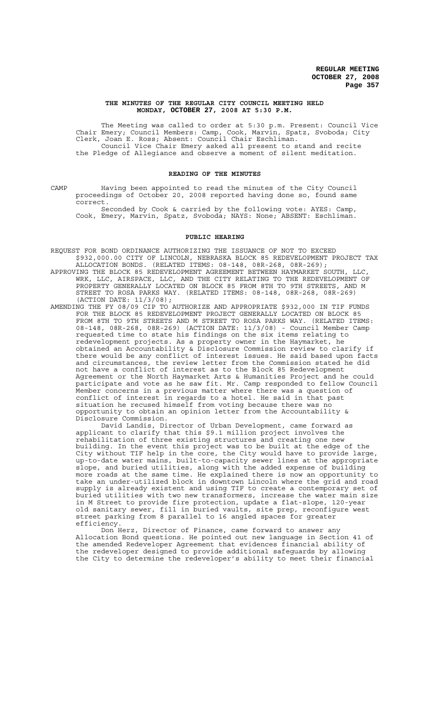#### **THE MINUTES OF THE REGULAR CITY COUNCIL MEETING HELD MONDAY, OCTOBER 27, 2008 AT 5:30 P.M.**

The Meeting was called to order at 5:30 p.m. Present: Council Vice Chair Emery; Council Members: Camp, Cook, Marvin, Spatz, Svoboda; City Clerk, Joan E. Ross; Absent: Council Chair Eschliman. Council Vice Chair Emery asked all present to stand and recite the Pledge of Allegiance and observe a moment of silent meditation.

#### **READING OF THE MINUTES**

CAMP Having been appointed to read the minutes of the City Council proceedings of October 20, 2008 reported having done so, found same correct.

Seconded by Cook & carried by the following vote: AYES: Camp, Cook, Emery, Marvin, Spatz, Svoboda; NAYS: None; ABSENT: Eschliman.

#### **PUBLIC HEARING**

- REQUEST FOR BOND ORDINANCE AUTHORIZING THE ISSUANCE OF NOT TO EXCEED \$932,000.00 CITY OF LINCOLN, NEBRASKA BLOCK 85 REDEVELOPMENT PROJECT TAX ALLOCATION BONDS. (RELATED ITEMS: 08-148, 08R-268, 08R-269);
- APPROVING THE BLOCK 85 REDEVELOPMENT AGREEMENT BETWEEN HAYMARKET SOUTH, LLC, WRK, LLC, AIRSPACE, LLC, AND THE CITY RELATING TO THE REDEVELOPMENT OF PROPERTY GENERALLY LOCATED ON BLOCK 85 FROM 8TH TO 9TH STREETS, AND M STREET TO ROSA PARKS WAY. (RELATED ITEMS: 08-148, 08R-268, 08R-269) (ACTION DATE: 11/3/08);
- AMENDING THE FY 08/09 CIP TO AUTHORIZE AND APPROPRIATE \$932,000 IN TIF FUNDS FOR THE BLOCK 85 REDEVELOPMENT PROJECT GENERALLY LOCATED ON BLOCK 85 FROM 8TH TO 9TH STREETS AND M STREET TO ROSA PARKS WAY. (RELATED ITEMS: 08-148, 08R-268, 08R-269) (ACTION DATE: 11/3/08) - Council Member Camp requested time to state his findings on the six items relating to redevelopment projects. As a property owner in the Haymarket, he obtained an Accountability & Disclosure Commission review to clarify if there would be any conflict of interest issues. He said based upon facts and circumstances, the review letter from the Commission stated he did not have a conflict of interest as to the Block 85 Redevelopment Agreement or the North Haymarket Arts & Humanities Project and he could participate and vote as he saw fit. Mr. Camp responded to fellow Council Member concerns in a previous matter where there was a question of conflict of interest in regards to a hotel. He said in that past situation he recused himself from voting because there was no opportunity to obtain an opinion letter from the Accountability & Disclosure Commission.

David Landis, Director of Urban Development, came forward as applicant to clarify that this \$9.1 million project involves the rehabilitation of three existing structures and creating one new building. In the event this project was to be built at the edge of the City without TIF help in the core, the City would have to provide large, up-to-date water mains, built-to-capacity sewer lines at the appropriate slope, and buried utilities, along with the added expense of building more roads at the same time. He explained there is now an opportunity to take an under-utilized block in downtown Lincoln where the grid and road supply is already existent and using TIF to create a contemporary set of buried utilities with two new transformers, increase the water main size in M Street to provide fire protection, update a flat-slope, 120-year old sanitary sewer, fill in buried vaults, site prep, reconfigure west street parking from 8 parallel to 16 angled spaces for greater efficiency.

Don Herz, Director of Finance, came forward to answer any Allocation Bond questions. He pointed out new language in Section 41 of the amended Redeveloper Agreement that evidences financial ability of the redeveloper designed to provide additional safeguards by allowing the City to determine the redeveloper's ability to meet their financial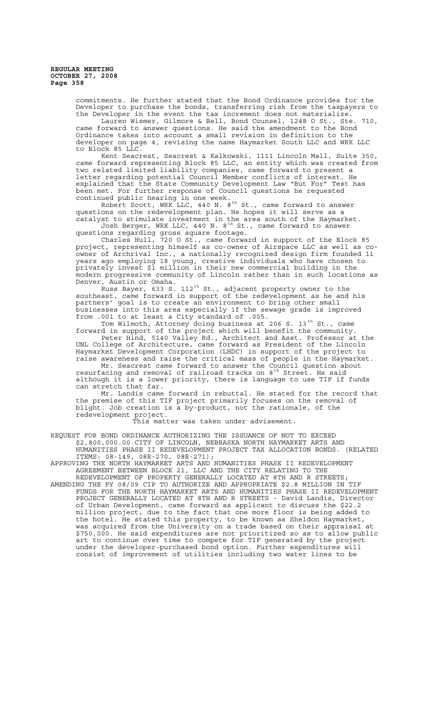> commitments. He further stated that the Bond Ordinance provides for the Developer to purchase the bonds, transferring risk from the taxpayers to the Developer in the event the tax increment does not materialize.

> Lauren Wismer, Gilmore & Bell, Bond Counsel, 1248 O St., Ste. 710, came forward to answer questions. He said the amendment to the Bond Ordinance takes into account a small revision in definition to the developer on page 4, revising the name Haymarket South LLC and WRK LLC to Block 85 LLC.

> Kent Seacrest, Seacrest & Kalkowski, 1111 Lincoln Mall, Suite 350, came forward representing Block 85 LLC, an entity which was created from two related limited liability companies, came forward to present a letter regarding potential Council Member conflicts of interest. He<br>explained that the State Community Development Law "But For" Test has explained that the State Community Development Law "But For" Test has been met. For further response of Council questions he requested continued public hearing in one week.

Robert Scott, WRK LLC, 440 N. 8<sup>th</sup> St., came forward to answer questions on the redevelopment plan. He hopes it will serve as a catalyst to stimulate investment in the area south of the Haymarket. Josh Berger, WRK LLC, 440 N. 8<sup>th</sup> St., came forward to answer

questions regarding gross square footage.

Charles Hull, 720 O St., came forward in support of the Block 85 project, representing himself as co-owner of Airspace LLC as well as coowner of Archrival Inc., a nationally recognized design firm founded 11 years ago employing 18 young, creative individuals who have chosen to privately invest \$1 million in their new commercial building in the modern progressive community of Lincoln rather than in such locations as Denver, Austin or Omaha.

 $\stackrel{\text{\scriptsize\textsf{F}}}{\text{\scriptsize\textsf{R}}}$ uss Bayer, 633 S. 112<sup>th</sup> St., adjacent property owner to the southeast, came forward in support of the redevelopment as he and his partners' goal is to create an environment to bring other small businesses into this area especially if the sewage grade is improved from .001 to at least a City standard of .005.

Tom Wilmoth, Attorney doing business at 206 S. 13<sup>th</sup> St., came forward in support of the project which will benefit the community. Peter Hind, 5140 Valley Rd., Architect and Asst. Professor at the UNL College of Architecture, came forward as President of the Lincoln Haymarket Development Corporation (LHDC) in support of the project to

raise awareness and raise the critical mass of people in the Haymarket. Mr. Seacrest came forward to answer the Council question about resurfacing and removal of railroad tracks on 8<sup>th</sup> Street. He said although it is a lower priority, there is language to use TIF if funds can stretch that far.

Mr. Landis came forward in rebuttal. He stated for the record that the premise of this TIF project primarily focuses on the removal of blight. Job creation is a by-product, not the rationale, of the redevelopment project.

This matter was taken under advisement.

REQUEST FOR BOND ORDINANCE AUTHORIZING THE ISSUANCE OF NOT TO EXCEED \$2,800,000.00 CITY OF LINCOLN, NEBRASKA NORTH HAYMARKET ARTS AND HUMANITIES PHASE II REDEVELOPMENT PROJECT TAX ALLOCATION BONDS. (RELATED ITEMS: 08-149, 08R-270, 08R-271);

APPROVING THE NORTH HAYMARKET ARTS AND HUMANITIES PHASE II REDEVELOPMENT AGREEMENT BETWEEN BLOCK 21, LLC AND THE CITY RELATING TO THE

REDEVELOPMENT OF PROPERTY GENERALLY LOCATED AT 8TH AND R STREETS; AMENDING THE FY 08/09 CIP TO AUTHORIZE AND APPROPRIATE \$2.8 MILLION IN TIF FUNDS FOR THE NORTH HAYMARKET ARTS AND HUMANITIES PHASE II REDEVELOPMENT PROJECT GENERALLY LOCATED AT 8TH AND R STREETS - David Landis, Director of Urban Development, came forward as applicant to discuss the \$22.2 million project, due to the fact that one more floor is being added to the hotel. He stated this property, to be known as Sheldon Haymarket, was acquired from the University on a trade based on their appraisal at \$750,000. He said expenditures are not prioritized so as to allow public art to continue over time to compete for TIF generated by the project under the developer-purchased bond option. Further expenditures will consist of improvement of utilities including two water lines to be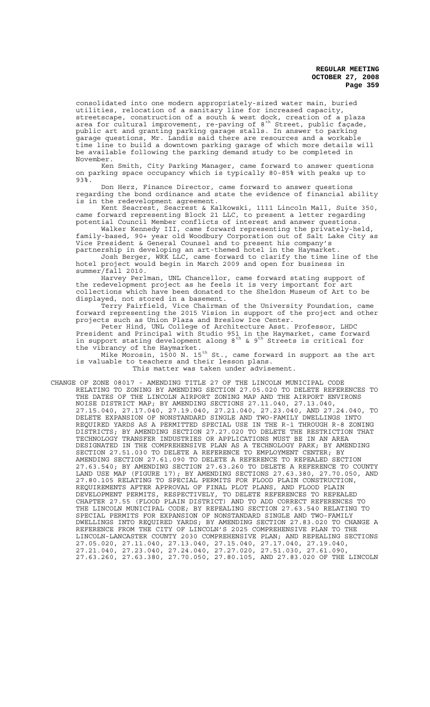consolidated into one modern appropriately-sized water main, buried utilities, relocation of a sanitary line for increased capacity, streetscape, construction of a south & west dock, creation of a plaza area for cultural improvement, re-paving of  $8^{\text{th}}$  Street, public façade, public art and granting parking garage stalls. In answer to parking garage questions, Mr. Landis said there are resources and a workable time line to build a downtown parking garage of which more details will be available following the parking demand study to be completed in November.

Ken Smith, City Parking Manager, came forward to answer questions on parking space occupancy which is typically 80-85% with peaks up to 93%.

Don Herz, Finance Director, came forward to answer questions regarding the bond ordinance and state the evidence of financial ability is in the redevelopment agreement.

Kent Seacrest, Seacrest & Kalkowski, 1111 Lincoln Mall, Suite 350, came forward representing Block 21 LLC, to present a letter regarding potential Council Member conflicts of interest and answer questions.

Walker Kennedy III, came forward representing the privately-held, family-based, 90+ year old Woodbury Corporation out of Salt Lake City as Vice President & General Counsel and to present his company's partnership in developing an art-themed hotel in the Haymarket.

Josh Berger, WRK LLC, came forward to clarify the time line of the hotel project would begin in March 2009 and open for business in summer/fall 2010.

Harvey Perlman, UNL Chancellor, came forward stating support of the redevelopment project as he feels it is very important for art collections which have been donated to the Sheldon Museum of Art to be displayed, not stored in a basement.

Terry Fairfield, Vice Chairman of the University Foundation, came forward representing the 2015 Vision in support of the project and other projects such as Union Plaza and Breslow Ice Center.

Peter Hind, UNL College of Architecture Asst. Professor, LHDC President and Principal with Studio 951 in the Haymarket, came forward in support stating development along  $8^{th}$  &  $9^{th}$  Streets is critical for the vibrancy of the Haymarket.

Mike Morosin, 1500 N. 15<sup>th</sup> St., came forward in support as the art is valuable to teachers and their lesson plans. This matter was taken under advisement.

CHANGE OF ZONE 08017 - AMENDING TITLE 27 OF THE LINCOLN MUNICIPAL CODE RELATING TO ZONING BY AMENDING SECTION 27.05.020 TO DELETE REFERENCES TO THE DATES OF THE LINCOLN AIRPORT ZONING MAP AND THE AIRPORT ENVIRONS NOISE DISTRICT MAP; BY AMENDING SECTIONS 27.11.040, 27.13.040, 27.15.040, 27.17.040, 27.19.040, 27.21.040, 27.23.040, AND 27.24.040, TO DELETE EXPANSION OF NONSTANDARD SINGLE AND TWO-FAMILY DWELLINGS INTO REQUIRED YARDS AS A PERMITTED SPECIAL USE IN THE R-1 THROUGH R-8 ZONING DISTRICTS; BY AMENDING SECTION 27.27.020 TO DELETE THE RESTRICTION THAT TECHNOLOGY TRANSFER INDUSTRIES OR APPLICATIONS MUST BE IN AN AREA DESIGNATED IN THE COMPREHENSIVE PLAN AS A TECHNOLOGY PARK; BY AMENDING SECTION 27.51.030 TO DELETE A REFERENCE TO EMPLOYMENT CENTER; BY AMENDING SECTION 27.61.090 TO DELETE A REFERENCE TO REPEALED SECTION 27.63.540; BY AMENDING SECTION 27.63.260 TO DELETE A REFERENCE TO COUNTY LAND USE MAP (FIGURE 17); BY AMENDING SECTIONS 27.63.380, 27.70.050, AND 27.80.105 RELATING TO SPECIAL PERMITS FOR FLOOD PLAIN CONSTRUCTION, REQUIREMENTS AFTER APPROVAL OF FINAL PLOT PLANS, AND FLOOD PLAIN DEVELOPMENT PERMITS, RESPECTIVELY, TO DELETE REFERENCES TO REPEALED CHAPTER 27.55 (FLOOD PLAIN DISTRICT) AND TO ADD CORRECT REFERENCES TO THE LINCOLN MUNICIPAL CODE; BY REPEALING SECTION 27.63.540 RELATING TO SPECIAL PERMITS FOR EXPANSION OF NONSTANDARD SINGLE AND TWO-FAMILY DWELLINGS INTO REQUIRED YARDS; BY AMENDING SECTION 27.83.020 TO CHANGE A REFERENCE FROM THE CITY OF LINCOLN'S 2025 COMPREHENSIVE PLAN TO THE LINCOLN-LANCASTER COUNTY 2030 COMPREHENSIVE PLAN; AND REPEALING SECTIONS 27.05.020, 27.11.040, 27.13.040, 27.15.040, 27.17.040, 27.19.040, 27.21.040, 27.23.040, 27.24.040, 27.27.020, 27.51.030, 27.61.090, 27.63.260, 27.63.380, 27.70.050, 27.80.105, AND 27.83.020 OF THE LINCOLN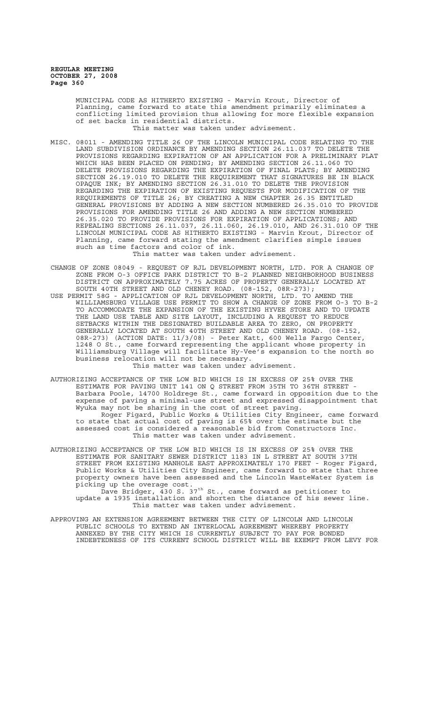> MUNICIPAL CODE AS HITHERTO EXISTING - Marvin Krout, Director of Planning, came forward to state this amendment primarily eliminates a conflicting limited provision thus allowing for more flexible expansion of set backs in residential districts.

This matter was taken under advisement.

MISC. 08011 - AMENDING TITLE 26 OF THE LINCOLN MUNICIPAL CODE RELATING TO THE LAND SUBDIVISION ORDINANCE BY AMENDING SECTION 26.11.037 TO DELETE THE PROVISIONS REGARDING EXPIRATION OF AN APPLICATION FOR A PRELIMINARY PLAT WHICH HAS BEEN PLACED ON PENDING; BY AMENDING SECTION 26.11.060 TO DELETE PROVISIONS REGARDING THE EXPIRATION OF FINAL PLATS; BY AMENDING SECTION 26.19.010 TO DELETE THE REQUIREMENT THAT SIGNATURES BE IN BLACK OPAQUE INK; BY AMENDING SECTION 26.31.010 TO DELETE THE PROVISION REGARDING THE EXPIRATION OF EXISTING REQUESTS FOR MODIFICATION OF THE REQUIREMENTS OF TITLE 26; BY CREATING A NEW CHAPTER 26.35 ENTITLED GENERAL PROVISIONS BY ADDING A NEW SECTION NUMBERED 26.35.010 TO PROVIDE PROVISIONS FOR AMENDING TITLE 26 AND ADDING A NEW SECTION NUMBERED 26.35.020 TO PROVIDE PROVISIONS FOR EXPIRATION OF APPLICATIONS; AND REPEALING SECTIONS 26.11.037, 26.11.060, 26.19.010, AND 26.31.010 OF THE LINCOLN MUNICIPAL CODE AS HITHERTO EXISTING - Marvin Krout, Director of Planning, came forward stating the amendment clarifies simple issues such as time factors and color of ink.

This matter was taken under advisement.

- CHANGE OF ZONE 08049 REQUEST OF RJL DEVELOPMENT NORTH, LTD. FOR A CHANGE OF ZONE FROM O-3 OFFICE PARK DISTRICT TO B-2 PLANNED NEIGHBORHOOD BUSINESS DISTRICT ON APPROXIMATELY 7.75 ACRES OF PROPERTY GENERALLY LOCATED AT SOUTH 40TH STREET AND OLD CHENEY ROAD. (08-152, 08R-273);
- USE PERMIT 58G APPLICATION OF RJL DEVELOPMENT NORTH, LTD. TO AMEND THE WILLIAMSBURG VILLAGE USE PERMIT TO SHOW A CHANGE OF ZONE FROM O-3 TO B-2 TO ACCOMMODATE THE EXPANSION OF THE EXISTING HYVEE STORE AND TO UPDATE THE LAND USE TABLE AND SITE LAYOUT, INCLUDING A REQUEST TO REDUCE SETBACKS WITHIN THE DESIGNATED BUILDABLE AREA TO ZERO, ON PROPERTY GENERALLY LOCATED AT SOUTH 40TH STREET AND OLD CHENEY ROAD. (08-152, 08R-273) (ACTION DATE: 11/3/08) - Peter Katt, 600 Wells Fargo Center, 1248 O St., came forward representing the applicant whose property in Williamsburg Village will facilitate Hy-Vee's expansion to the north so business relocation will not be necessary. This matter was taken under advisement.
- AUTHORIZING ACCEPTANCE OF THE LOW BID WHICH IS IN EXCESS OF 25% OVER THE ESTIMATE FOR PAVING UNIT 141 ON Q STREET FROM 35TH TO 36TH STREET - Barbara Poole, 14700 Holdrege St., came forward in opposition due to the expense of paving a minimal-use street and expressed disappointment that Wyuka may not be sharing in the cost of street paving. Roger Figard, Public Works & Utilities City Engineer, came forward to state that actual cost of paving is 65% over the estimate but the assessed cost is considered a reasonable bid from Constructors Inc. This matter was taken under advisement.
- AUTHORIZING ACCEPTANCE OF THE LOW BID WHICH IS IN EXCESS OF 25% OVER THE ESTIMATE FOR SANITARY SEWER DISTRICT 1183 IN L STREET AT SOUTH 37TH STREET FROM EXISTING MANHOLE EAST APPROXIMATELY 170 FEET - Roger Figard, Public Works & Utilities City Engineer, came forward to state that three property owners have been assessed and the Lincoln WasteWater System is picking up the overage cost.

 $\bar{\rm D}$ ave Bridger,  $\bar{4}$ 30 S. 37<sup>th</sup> St., came forward as petitioner to update a 1935 installation and shorten the distance of his sewer line. This matter was taken under advisement.

APPROVING AN EXTENSION AGREEMENT BETWEEN THE CITY OF LINCOLN AND LINCOLN PUBLIC SCHOOLS TO EXTEND AN INTERLOCAL AGREEMENT WHEREBY PROPERTY ANNEXED BY THE CITY WHICH IS CURRENTLY SUBJECT TO PAY FOR BONDED INDEBTEDNESS OF ITS CURRENT SCHOOL DISTRICT WILL BE EXEMPT FROM LEVY FOR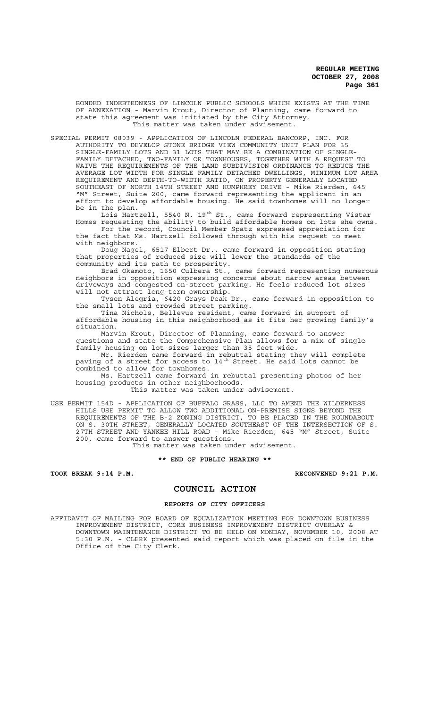BONDED INDEBTEDNESS OF LINCOLN PUBLIC SCHOOLS WHICH EXISTS AT THE TIME OF ANNEXATION - Marvin Krout, Director of Planning, came forward to state this agreement was initiated by the City Attorney. This matter was taken under advisement.

SPECIAL PERMIT 08039 - APPLICATION OF LINCOLN FEDERAL BANCORP, INC. FOR AUTHORITY TO DEVELOP STONE BRIDGE VIEW COMMUNITY UNIT PLAN FOR 35 SINGLE-FAMILY LOTS AND 31 LOTS THAT MAY BE A COMBINATION OF SINGLE-FAMILY DETACHED, TWO-FAMILY OR TOWNHOUSES, TOGETHER WITH A REQUEST TO WAIVE THE REQUIREMENTS OF THE LAND SUBDIVISION ORDINANCE TO REDUCE THE AVERAGE LOT WIDTH FOR SINGLE FAMILY DETACHED DWELLINGS, MINIMUM LOT AREA REQUIREMENT AND DEPTH-TO-WIDTH RATIO, ON PROPERTY GENERALLY LOCATED SOUTHEAST OF NORTH 14TH STREET AND HUMPHREY DRIVE - Mike Rierden, 645 "M" Street, Suite 200, came forward representing the applicant in an effort to develop affordable housing. He said townhomes will no longer be in the plan.

Lois Hartzell, 5540 N. 19th St., came forward representing Vistar Homes requesting the ability to build affordable homes on lots she owns. For the record, Council Member Spatz expressed appreciation for

the fact that Ms. Hartzell followed through with his request to meet with neighbors.

Doug Nagel, 6517 Elbert Dr., came forward in opposition stating that properties of reduced size will lower the standards of the community and its path to prosperity.

Brad Okamoto, 1650 Culbera St., came forward representing numerous neighbors in opposition expressing concerns about narrow areas between driveways and congested on-street parking. He feels reduced lot sizes will not attract long-term ownership.

Tysen Alegria, 6420 Grays Peak Dr., came forward in opposition to the small lots and crowded street parking.

Tina Nichols, Bellevue resident, came forward in support of affordable housing in this neighborhood as it fits her growing family's situation.

Marvin Krout, Director of Planning, came forward to answer questions and state the Comprehensive Plan allows for a mix of single family housing on lot sizes larger than 35 feet wide.

Mr. Rierden came forward in rebuttal stating they will complete paving of a street for access to 14<sup>th</sup> Street. He said lots cannot be combined to allow for townhomes.

Ms. Hartzell came forward in rebuttal presenting photos of her housing products in other neighborhoods.

This matter was taken under advisement.

USE PERMIT 154D - APPLICATION OF BUFFALO GRASS, LLC TO AMEND THE WILDERNESS HILLS USE PERMIT TO ALLOW TWO ADDITIONAL ON-PREMISE SIGNS BEYOND THE REQUIREMENTS OF THE B-2 ZONING DISTRICT, TO BE PLACED IN THE ROUNDABOUT ON S. 30TH STREET, GENERALLY LOCATED SOUTHEAST OF THE INTERSECTION OF S. 27TH STREET AND YANKEE HILL ROAD - Mike Rierden, 645 "M" Street, Suite 200, came forward to answer questions.

This matter was taken under advisement.

#### **\*\* END OF PUBLIC HEARING \*\***

**TOOK BREAK 9:14 P.M. RECONVENED 9:21 P.M.**

### **COUNCIL ACTION**

#### **REPORTS OF CITY OFFICERS**

AFFIDAVIT OF MAILING FOR BOARD OF EQUALIZATION MEETING FOR DOWNTOWN BUSINESS IMPROVEMENT DISTRICT, CORE BUSINESS IMPROVEMENT DISTRICT OVERLAY & DOWNTOWN MAINTENANCE DISTRICT TO BE HELD ON MONDAY, NOVEMBER 10, 2008 AT 5:30 P.M. - CLERK presented said report which was placed on file in the Office of the City Clerk.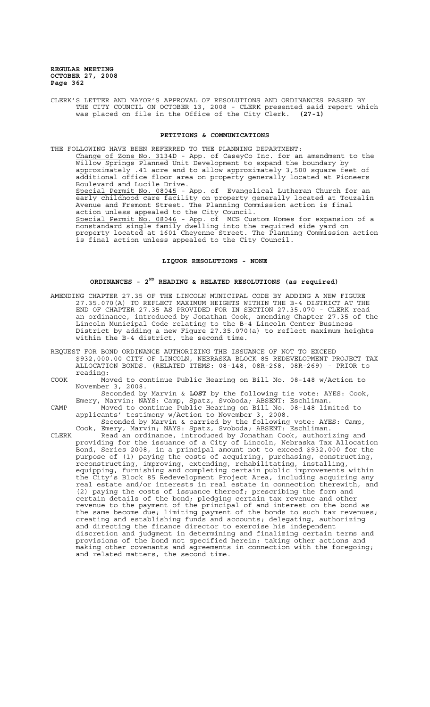CLERK'S LETTER AND MAYOR'S APPROVAL OF RESOLUTIONS AND ORDINANCES PASSED BY THE CITY COUNCIL ON OCTOBER 13, 2008 - CLERK presented said report which was placed on file in the Office of the City Clerk. **(27-1)**

#### **PETITIONS & COMMUNICATIONS**

THE FOLLOWING HAVE BEEN REFERRED TO THE PLANNING DEPARTMENT: Change of Zone No. 3134D - App. of CaseyCo Inc. for an amendment to the Willow Springs Planned Unit Development to expand the boundary by approximately .41 acre and to allow approximately 3,500 square feet of additional office floor area on property generally located at Pioneers Boulevard and Lucile Drive. Special Permit No. 08045 - App. of Evangelical Lutheran Church for an early childhood care facility on property generally located at Touzalin Avenue and Fremont Street. The Planning Commission action is final action unless appealed to the City Council. Special Permit No. 08046 - App. of MCS Custom Homes for expansion of a nonstandard single family dwelling into the required side yard on property located at 1601 Cheyenne Street. The Planning Commission action is final action unless appealed to the City Council.

#### **LIQUOR RESOLUTIONS - NONE**

### **ORDINANCES - 2ND READING & RELATED RESOLUTIONS (as required)**

- AMENDING CHAPTER 27.35 OF THE LINCOLN MUNICIPAL CODE BY ADDING A NEW FIGURE 27.35.070(A) TO REFLECT MAXIMUM HEIGHTS WITHIN THE B-4 DISTRICT AT THE END OF CHAPTER 27.35 AS PROVIDED FOR IN SECTION 27.35.070 - CLERK read an ordinance, introduced by Jonathan Cook, amending Chapter 27.35 of the Lincoln Municipal Code relating to the B-4 Lincoln Center Business District by adding a new Figure 27.35.070(a) to reflect maximum heights within the B-4 district, the second time.
- REQUEST FOR BOND ORDINANCE AUTHORIZING THE ISSUANCE OF NOT TO EXCEED \$932,000.00 CITY OF LINCOLN, NEBRASKA BLOCK 85 REDEVELOPMENT PROJECT TAX ALLOCATION BONDS. (RELATED ITEMS: 08-148, 08R-268, 08R-269) - PRIOR to reading:
- COOK Moved to continue Public Hearing on Bill No. 08-148 w/Action to November 3, 2008.

Seconded by Marvin & **LOST** by the following tie vote: AYES: Cook, Emery, Marvin; NAYS: Camp, Spatz, Svoboda; ABSENT: Eschliman.

CAMP Moved to continue Public Hearing on Bill No. 08-148 limited to applicants' testimony w/Action to November 3, 2008. Seconded by Marvin & carried by the following vote: AYES: Camp,

Cook, Emery, Marvin; NAYS: Spatz, Svoboda; ABSENT: Eschliman. CLERK Read an ordinance, introduced by Jonathan Cook, authorizing and providing for the issuance of a City of Lincoln, Nebraska Tax Allocation Bond, Series 2008, in a principal amount not to exceed \$932,000 for the purpose of (1) paying the costs of acquiring, purchasing, constructing, reconstructing, improving, extending, rehabilitating, installing, equipping, furnishing and completing certain public improvements within the City's Block 85 Redevelopment Project Area, including acquiring any real estate and/or interests in real estate in connection therewith, and (2) paying the costs of issuance thereof; prescribing the form and certain details of the bond; pledging certain tax revenue and other revenue to the payment of the principal of and interest on the bond as the same become due; limiting payment of the bonds to such tax revenues; creating and establishing funds and accounts; delegating, authorizing and directing the finance director to exercise his independent discretion and judgment in determining and finalizing certain terms and provisions of the bond not specified herein; taking other actions and making other covenants and agreements in connection with the foregoing; and related matters, the second time.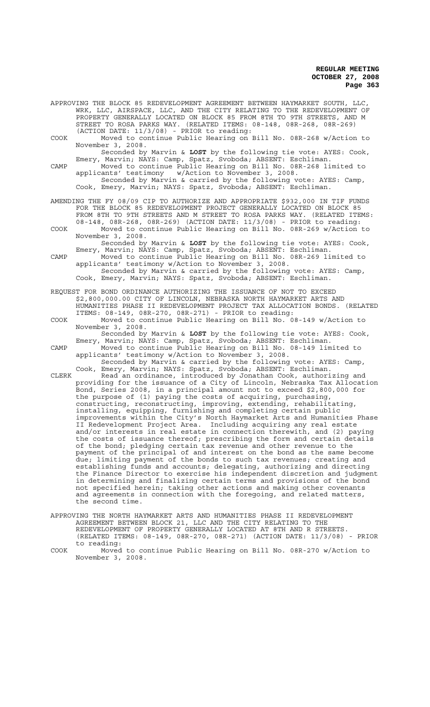- APPROVING THE BLOCK 85 REDEVELOPMENT AGREEMENT BETWEEN HAYMARKET SOUTH, LLC, WRK, LLC, AIRSPACE, LLC, AND THE CITY RELATING TO THE REDEVELOPMENT OF PROPERTY GENERALLY LOCATED ON BLOCK 85 FROM 8TH TO 9TH STREETS, AND M STREET TO ROSA PARKS WAY. (RELATED ITEMS: 08-148, 08R-268, 08R-269) (ACTION DATE: 11/3/08) - PRIOR to reading:
- COOK Moved to continue Public Hearing on Bill No. 08R-268 w/Action to November 3, 2008.

Seconded by Marvin & **LOST** by the following tie vote: AYES: Cook, Emery, Marvin; NAYS: Camp, Spatz, Svoboda; ABSENT: Eschliman.

- CAMP Moved to continue Public Hearing on Bill No. 08R-268 limited to applicants' testimony w/Action to November 3, 2008. Seconded by Marvin & carried by the following vote: AYES: Camp, Cook, Emery, Marvin; NAYS: Spatz, Svoboda; ABSENT: Eschliman.
- AMENDING THE FY 08/09 CIP TO AUTHORIZE AND APPROPRIATE \$932,000 IN TIF FUNDS FOR THE BLOCK 85 REDEVELOPMENT PROJECT GENERALLY LOCATED ON BLOCK 85 FROM 8TH TO 9TH STREETS AND M STREET TO ROSA PARKS WAY. (RELATED ITEMS: 08-148, 08R-268, 08R-269) (ACTION DATE: 11/3/08) - PRIOR to reading:
- COOK Moved to continue Public Hearing on Bill No. 08R-269 w/Action to November 3, 2008. Seconded by Marvin & **LOST** by the following tie vote: AYES: Cook,
- Emery, Marvin; NAYS: Camp, Spatz, Svoboda; ABSENT: Eschliman. CAMP Moved to continue Public Hearing on Bill No. 08R-269 limited to applicants' testimony w/Action to November 3, 2008. applicants' testimony w/Action to November 3, 2008. Seconded by Marvin & carried by the following vote: AYES: Camp,
	- Cook, Emery, Marvin; NAYS: Spatz, Svoboda; ABSENT: Eschliman.
- REQUEST FOR BOND ORDINANCE AUTHORIZING THE ISSUANCE OF NOT TO EXCEED \$2,800,000.00 CITY OF LINCOLN, NEBRASKA NORTH HAYMARKET ARTS AND HUMANITIES PHASE II REDEVELOPMENT PROJECT TAX ALLOCATION BONDS. (RELATED ITEMS: 08-149, 08R-270, 08R-271) - PRIOR to reading:
- COOK Moved to continue Public Hearing on Bill No. 08-149 w/Action to November 3, 2008.
- Seconded by Marvin & **LOST** by the following tie vote: AYES: Cook, Emery, Marvin; NAYS: Camp, Spatz, Svoboda; ABSENT: Eschliman. CAMP Moved to continue Public Hearing on Bill No. 08-149 limited to

applicants' testimony w/Action to November 3, 2008. Seconded by Marvin & carried by the following vote: AYES: Camp, Cook, Emery, Marvin; NAYS: Spatz, Svoboda; ABSENT: Eschliman.

- CLERK Read an ordinance, introduced by Jonathan Cook, authorizing and providing for the issuance of a City of Lincoln, Nebraska Tax Allocation Bond, Series 2008, in a principal amount not to exceed \$2,800,000 for the purpose of (1) paying the costs of acquiring, purchasing, constructing, reconstructing, improving, extending, rehabilitating, installing, equipping, furnishing and completing certain public improvements within the City's North Haymarket Arts and Humanities Phase II Redevelopment Project Area. Including acquiring any real estate and/or interests in real estate in connection therewith, and (2) paying the costs of issuance thereof; prescribing the form and certain details of the bond; pledging certain tax revenue and other revenue to the payment of the principal of and interest on the bond as the same become due; limiting payment of the bonds to such tax revenues; creating and establishing funds and accounts; delegating, authorizing and directing the Finance Director to exercise his independent discretion and judgment in determining and finalizing certain terms and provisions of the bond not specified herein; taking other actions and making other covenants and agreements in connection with the foregoing, and related matters, the second time.
- APPROVING THE NORTH HAYMARKET ARTS AND HUMANITIES PHASE II REDEVELOPMENT AGREEMENT BETWEEN BLOCK 21, LLC AND THE CITY RELATING TO THE REDEVELOPMENT OF PROPERTY GENERALLY LOCATED AT 8TH AND R STREETS. (RELATED ITEMS: 08-149, 08R-270, 08R-271) (ACTION DATE: 11/3/08) - PRIOR to reading:

COOK Moved to continue Public Hearing on Bill No. 08R-270 w/Action to November 3, 2008.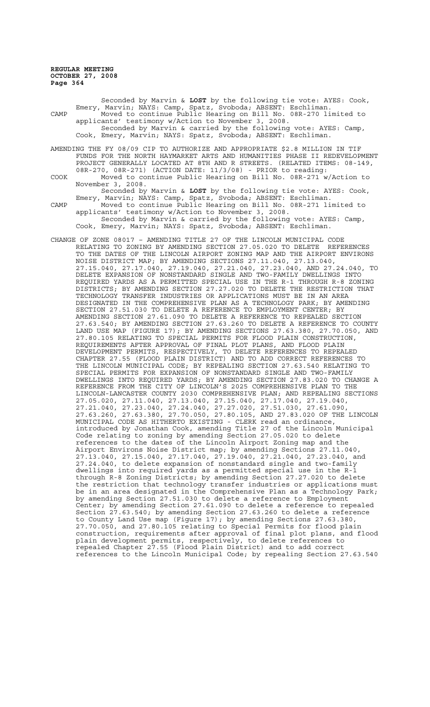Seconded by Marvin & **LOST** by the following tie vote: AYES: Cook, Emery, Marvin; NAYS: Camp, Spatz, Svoboda; ABSENT: Eschliman. CAMP Moved to continue Public Hearing on Bill No. 08R-270 limited to applicants' testimony w/Action to November 3, 2008. Seconded by Marvin & carried by the following vote: AYES: Camp, Cook, Emery, Marvin; NAYS: Spatz, Svoboda; ABSENT: Eschliman. AMENDING THE FY 08/09 CIP TO AUTHORIZE AND APPROPRIATE \$2.8 MILLION IN TIF FUNDS FOR THE NORTH HAYMARKET ARTS AND HUMANITIES PHASE II REDEVELOPMENT PROJECT GENERALLY LOCATED AT 8TH AND R STREETS. (RELATED ITEMS: 08-149, 08R-270, 08R-271) (ACTION DATE: 11/3/08) - PRIOR to reading: COOK Moved to continue Public Hearing on Bill No. 08R-271 w/Action to November 3, 2008. Seconded by Marvin & **LOST** by the following tie vote: AYES: Cook, Emery, Marvin; NAYS: Camp, Spatz, Svoboda; ABSENT: Eschliman. CAMP Moved to continue Public Hearing on Bill No. 08R-271 limited to applicants' testimony w/Action to November 3, 2008. Seconded by Marvin & carried by the following vote: AYES: Camp, Cook, Emery, Marvin; NAYS: Spatz, Svoboda; ABSENT: Eschliman. CHANGE OF ZONE 08017 – AMENDING TITLE 27 OF THE LINCOLN MUNICIPAL CODE RELATING TO ZONING BY AMENDING SECTION 27.05.020 TO DELETE REFERENCES TO THE DATES OF THE LINCOLN AIRPORT ZONING MAP AND THE AIRPORT ENVIRONS NOISE DISTRICT MAP; BY AMENDING SECTIONS 27.11.040, 27.13.040, 27.15.040, 27.17.040, 27.19.040, 27.21.040, 27.23.040, AND 27.24.040, TO DELETE EXPANSION OF NONSTANDARD SINGLE AND TWO-FAMILY DWELLINGS INTO REQUIRED YARDS AS A PERMITTED SPECIAL USE IN THE R-1 THROUGH R-8 ZONING DISTRICTS; BY AMENDING SECTION 27.27.020 TO DELETE THE RESTRICTION THAT TECHNOLOGY TRANSFER INDUSTRIES OR APPLICATIONS MUST BE IN AN AREA DESIGNATED IN THE COMPREHENSIVE PLAN AS A TECHNOLOGY PARK; BY AMENDING SECTION 27.51.030 TO DELETE A REFERENCE TO EMPLOYMENT CENTER; BY AMENDING SECTION 27.61.090 TO DELETE A REFERENCE TO REPEALED SECTION 27.63.540; BY AMENDING SECTION 27.63.260 TO DELETE A REFERENCE TO COUNTY LAND USE MAP (FIGURE 17); BY AMENDING SECTIONS 27.63.380, 27.70.050, AND 27.80.105 RELATING TO SPECIAL PERMITS FOR FLOOD PLAIN CONSTRUCTION, REQUIREMENTS AFTER APPROVAL OF FINAL PLOT PLANS, AND FLOOD PLAIN DEVELOPMENT PERMITS, RESPECTIVELY, TO DELETE REFERENCES TO REPEALED CHAPTER 27.55 (FLOOD PLAIN DISTRICT) AND TO ADD CORRECT REFERENCES TO THE LINCOLN MUNICIPAL CODE; BY REPEALING SECTION 27.63.540 RELATING TO SPECIAL PERMITS FOR EXPANSION OF NONSTANDARD SINGLE AND TWO-FAMILY DWELLINGS INTO REQUIRED YARDS; BY AMENDING SECTION 27.83.020 TO CHANGE A REFERENCE FROM THE CITY OF LINCOLN'S 2025 COMPREHENSIVE PLAN TO THE LINCOLN-LANCASTER COUNTY 2030 COMPREHENSIVE PLAN; AND REPEALING SECTIONS 27.05.020, 27.11.040, 27.13.040, 27.15.040, 27.17.040, 27.19.040, 27.21.040, 27.23.040, 27.24.040, 27.27.020, 27.51.030, 27.61.090, 27.63.260, 27.63.380, 27.70.050, 27.80.105, AND 27.83.020 OF THE LINCOLN MUNICIPAL CODE AS HITHERTO EXISTING - CLERK read an ordinance, introduced by Jonathan Cook, amending Title 27 of the Lincoln Municipal Code relating to zoning by amending Section 27.05.020 to delete references to the dates of the Lincoln Airport Zoning map and the Airport Environs Noise District map; by amending Sections 27.11.040, 27.13.040, 27.15.040, 27.17.040, 27.19.040, 27.21.040, 27.23.040, and 27.24.040, to delete expansion of nonstandard single and two-family dwellings into required yards as a permitted special use in the R-1 through R-8 Zoning Districts; by amending Section 27.27.020 to delete the restriction that technology transfer industries or applications must be in an area designated in the Comprehensive Plan as a Technology Park; by amending Section 27.51.030 to delete a reference to Employment Center; by amending Section 27.61.090 to delete a reference to repealed Section 27.63.540; by amending Section 27.63.260 to delete a reference to County Land Use map (Figure 17); by amending Sections 27.63.380, 27.70.050, and 27.80.105 relating to Special Permits for flood plain construction, requirements after approval of final plot plans, and flood

plain development permits, respectively, to delete references to repealed Chapter 27.55 (Flood Plain District) and to add correct

references to the Lincoln Municipal Code; by repealing Section 27.63.540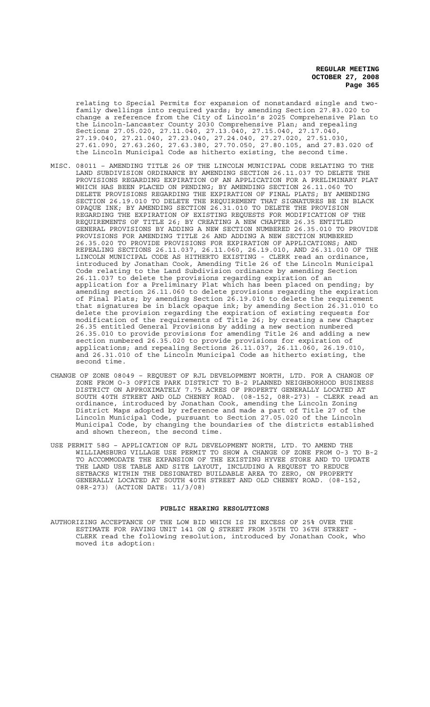relating to Special Permits for expansion of nonstandard single and twofamily dwellings into required yards; by amending Section 27.83.020 to change a reference from the City of Lincoln's 2025 Comprehensive Plan to the Lincoln-Lancaster County 2030 Comprehensive Plan; and repealing Sections 27.05.020, 27.11.040, 27.13.040, 27.15.040, 27.17.040, 27.19.040, 27.21.040, 27.23.040, 27.24.040, 27.27.020, 27.51.030, 27.61.090, 27.63.260, 27.63.380, 27.70.050, 27.80.105, and 27.83.020 of the Lincoln Municipal Code as hitherto existing, the second time.

- MISC. 08011 AMENDING TITLE 26 OF THE LINCOLN MUNICIPAL CODE RELATING TO THE LAND SUBDIVISION ORDINANCE BY AMENDING SECTION 26.11.037 TO DELETE THE PROVISIONS REGARDING EXPIRATION OF AN APPLICATION FOR A PRELIMINARY PLAT WHICH HAS BEEN PLACED ON PENDING; BY AMENDING SECTION 26.11.060 TO DELETE PROVISIONS REGARDING THE EXPIRATION OF FINAL PLATS; BY AMENDING SECTION 26.19.010 TO DELETE THE REQUIREMENT THAT SIGNATURES BE IN BLACK OPAQUE INK; BY AMENDING SECTION 26.31.010 TO DELETE THE PROVISION REGARDING THE EXPIRATION OF EXISTING REQUESTS FOR MODIFICATION OF THE REQUIREMENTS OF TITLE 26; BY CREATING A NEW CHAPTER 26.35 ENTITLED GENERAL PROVISIONS BY ADDING A NEW SECTION NUMBERED 26.35.010 TO PROVIDE PROVISIONS FOR AMENDING TITLE 26 AND ADDING A NEW SECTION NUMBERED 26.35.020 TO PROVIDE PROVISIONS FOR EXPIRATION OF APPLICATIONS; AND REPEALING SECTIONS 26.11.037, 26.11.060, 26.19.010, AND 26.31.010 OF THE LINCOLN MUNICIPAL CODE AS HITHERTO EXISTING - CLERK read an ordinance, introduced by Jonathan Cook, Amending Title 26 of the Lincoln Municipal Code relating to the Land Subdivision ordinance by amending Section 26.11.037 to delete the provisions regarding expiration of an application for a Preliminary Plat which has been placed on pending; by amending section 26.11.060 to delete provisions regarding the expiration of Final Plats; by amending Section 26.19.010 to delete the requirement that signatures be in black opaque ink; by amending Section 26.31.010 to delete the provision regarding the expiration of existing requests for modification of the requirements of Title 26; by creating a new Chapter 26.35 entitled General Provisions by adding a new section numbered 26.35.010 to provide provisions for amending Title 26 and adding a new section numbered 26.35.020 to provide provisions for expiration of applications; and repealing Sections 26.11.037, 26.11.060, 26.19.010, and 26.31.010 of the Lincoln Municipal Code as hitherto existing, the second time.
- CHANGE OF ZONE 08049 REQUEST OF RJL DEVELOPMENT NORTH, LTD. FOR A CHANGE OF ZONE FROM O-3 OFFICE PARK DISTRICT TO B-2 PLANNED NEIGHBORHOOD BUSINESS DISTRICT ON APPROXIMATELY 7.75 ACRES OF PROPERTY GENERALLY LOCATED AT SOUTH 40TH STREET AND OLD CHENEY ROAD. (08-152, 08R-273) - CLERK read an ordinance, introduced by Jonathan Cook, amending the Lincoln Zoning District Maps adopted by reference and made a part of Title 27 of the Lincoln Municipal Code, pursuant to Section 27.05.020 of the Lincoln Municipal Code, by changing the boundaries of the districts established and shown thereon, the second time.
- USE PERMIT 58G APPLICATION OF RJL DEVELOPMENT NORTH, LTD. TO AMEND THE WILLIAMSBURG VILLAGE USE PERMIT TO SHOW A CHANGE OF ZONE FROM O-3 TO B-2 TO ACCOMMODATE THE EXPANSION OF THE EXISTING HYVEE STORE AND TO UPDATE THE LAND USE TABLE AND SITE LAYOUT, INCLUDING A REQUEST TO REDUCE SETBACKS WITHIN THE DESIGNATED BUILDABLE AREA TO ZERO, ON PROPERTY GENERALLY LOCATED AT SOUTH 40TH STREET AND OLD CHENEY ROAD. (08-152, 08R-273) (ACTION DATE: 11/3/08)

#### **PUBLIC HEARING RESOLUTIONS**

AUTHORIZING ACCEPTANCE OF THE LOW BID WHICH IS IN EXCESS OF 25% OVER THE ESTIMATE FOR PAVING UNIT 141 ON Q STREET FROM 35TH TO 36TH STREET - CLERK read the following resolution, introduced by Jonathan Cook, who moved its adoption: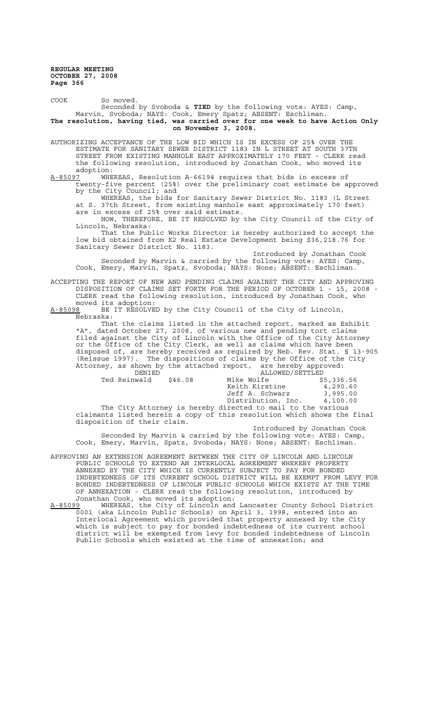COOK So moved.

Seconded by Svoboda & **TIED** by the following vote: AYES: Camp, Marvin, Svoboda; NAYS: Cook, Emery Spatz; ABSENT: Eschliman. **The resolution, having tied, was carried over for one week to have Action Only on November 3, 2008.**

AUTHORIZING ACCEPTANCE OF THE LOW BID WHICH IS IN EXCESS OF 25% OVER THE ESTIMATE FOR SANITARY SEWER DISTRICT 1183 IN L STREET AT SOUTH 37TH STREET FROM EXISTING MANHOLE EAST APPROXIMATELY 170 FEET - CLERK read the following resolution, introduced by Jonathan Cook, who moved its adoption:<br>A-85097 WHE

WHEREAS, Resolution A-66194 requires that bids in excess of twenty-five percent (25%) over the preliminary cost estimate be approved by the City Council; and

WHEREAS, the bids for Sanitary Sewer District No. 1183 (L Street at S. 37th Street, from existing manhole east approximately 170 feet) are in excess of 25% over said estimate.

NOW, THEREFORE, BE IT RESOLVED by the City Council of the City of Lincoln, Nebraska:

That the Public Works Director is hereby authorized to accept the low bid obtained from K2 Real Estate Development being \$36,218.76 for Sanitary Sewer District No. 1183.

Introduced by Jonathan Cook Seconded by Marvin & carried by the following vote: AYES: Camp, Cook, Emery, Marvin, Spatz, Svoboda; NAYS: None; ABSENT: Eschliman.

ACCEPTING THE REPORT OF NEW AND PENDING CLAIMS AGAINST THE CITY AND APPROVING DISPOSITION OF CLAIMS SET FORTH FOR THE PERIOD OF OCTOBER 1 - 15, 2008 - CLERK read the following resolution, introduced by Jonathan Cook, who

moved its adoption:<br>A-85098 BE IT RESOLVE BE IT RESOLVED by the City Council of the City of Lincoln, Nebraska:

That the claims listed in the attached report, marked as Exhibit "A", dated October 27, 2008, of various new and pending tort claims filed against the City of Lincoln with the Office of the City Attorney or the Office of the City Clerk, as well as claims which have been disposed of, are hereby received as required by Neb. Rev. Stat. § 13-905 (Reissue 1997). The dispositions of claims by the Office of the City Attorney, as shown by the attached report, are hereby approved:

| DENIED |                             | ALLOWED/SETTLED |                                                                         |            |
|--------|-----------------------------|-----------------|-------------------------------------------------------------------------|------------|
|        | Ted Reinwald                | \$46.08         | Mike Wolfe                                                              | \$5,336.56 |
|        |                             |                 | Keith Kirstine                                                          | 4,290.60   |
|        |                             |                 | Jeff A. Schwarz                                                         | 3,995.00   |
|        |                             |                 | Distribution, Inc. 4,100.00                                             |            |
|        |                             |                 | The City Attorney is hereby directed to mail to the various             |            |
|        |                             |                 | claimants listed herein a copy of this resolution which shows the final |            |
|        | disposition of their claim. |                 |                                                                         |            |

Introduced by Jonathan Cook Seconded by Marvin & carried by the following vote: AYES: Camp, Cook, Emery, Marvin, Spatz, Svoboda; NAYS: None; ABSENT: Eschliman.

APPROVING AN EXTENSION AGREEMENT BETWEEN THE CITY OF LINCOLN AND LINCOLN PUBLIC SCHOOLS TO EXTEND AN INTERLOCAL AGREEMENT WHEREBY PROPERTY ANNEXED BY THE CITY WHICH IS CURRENTLY SUBJECT TO PAY FOR BONDED INDEBTEDNESS OF ITS CURRENT SCHOOL DISTRICT WILL BE EXEMPT FROM LEVY FOR BONDED INDEBTEDNESS OF LINCOLN PUBLIC SCHOOLS WHICH EXISTS AT THE TIME OF ANNEXATION - CLERK read the following resolution, introduced by Jonathan Cook, who moved its adoption:<br>A-85099 WHEREAS, the City of Lincoln and

A-85099 WHEREAS, the City of Lincoln and Lancaster County School District 0001 (aka Lincoln Public Schools) on April 3, 1998, entered into an Interlocal Agreement which provided that property annexed by the City which is subject to pay for bonded indebtedness of its current school district will be exempted from levy for bonded indebtedness of Lincoln Public Schools which existed at the time of annexation; and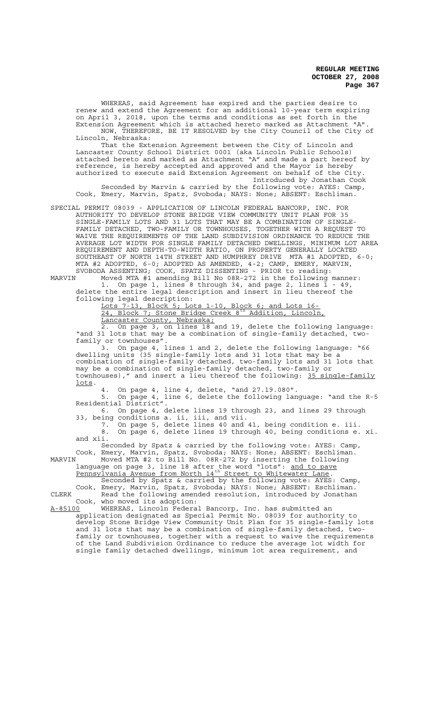WHEREAS, said Agreement has expired and the parties desire to renew and extend the Agreement for an additional 10-year term expiring on April 3, 2018, upon the terms and conditions as set forth in the Extension Agreement which is attached hereto marked as Attachment "A". NOW, THEREFORE, BE IT RESOLVED by the City Council of the City of Lincoln, Nebraska:

That the Extension Agreement between the City of Lincoln and Lancaster County School District 0001 (aka Lincoln Public Schools) attached hereto and marked as Attachment "A" and made a part hereof by reference, is hereby accepted and approved and the Mayor is hereby authorized to execute said Extension Agreement on behalf of the City. Introduced by Jonathan Cook

Seconded by Marvin & carried by the following vote: AYES: Camp, Cook, Emery, Marvin, Spatz, Svoboda; NAYS: None; ABSENT: Eschliman.

SPECIAL PERMIT 08039 - APPLICATION OF LINCOLN FEDERAL BANCORP, INC. FOR AUTHORITY TO DEVELOP STONE BRIDGE VIEW COMMUNITY UNIT PLAN FOR 35 SINGLE-FAMILY LOTS AND 31 LOTS THAT MAY BE A COMBINATION OF SINGLE-FAMILY DETACHED, TWO-FAMILY OR TOWNHOUSES, TOGETHER WITH A REQUEST TO WAIVE THE REQUIREMENTS OF THE LAND SUBDIVISION ORDINANCE TO REDUCE THE AVERAGE LOT WIDTH FOR SINGLE FAMILY DETACHED DWELLINGS, MINIMUM LOT AREA REQUIREMENT AND DEPTH-TO-WIDTH RATIO, ON PROPERTY GENERALLY LOCATED SOUTHEAST OF NORTH 14TH STREET AND HUMPHREY DRIVE MTA #1 ADOPTED, 6-0; MTA #2 ADOPTED, 6-0; ADOPTED AS AMENDED, 4-2; CAMP, EMERY, MARVIN, SVOBODA ASSENTING; COOK, SPATZ DISSENTING - PRIOR to reading:

MARVIN Moved MTA #1 amending Bill No 08R-272 in the following manner: 1. On page 1, lines 8 through 34, and page 2, lines 1 - 49,

delete the entire legal description and insert in lieu thereof the following legal description:

Lots 7-13, Block 5; Lots 1-10, Block 6; and Lots 16- 24, Block 7; Stone Bridge Creek 8<sup>th</sup> Addition, Lincoln, Lancaster County, Nebraska;

2. On page 3, on lines 18 and 19, delete the following language: "and 31 lots that may be a combination of single-family detached, twofamily or townhouses".

3. On page 4, lines 1 and 2, delete the following language: "66 dwelling units (35 single-family lots and 31 lots that may be a combination of single-family detached, two-family lots and 31 lots that may be a combination of single-family detached, two-family or townhouses)," and insert a lieu thereof the following: 35 single-family lots.

4. On page 4, line 4, delete, "and 27.19.080".

5. On page 4, line 6, delete the following language: "and the R-5 Residential District".

6. On page 4, delete lines 19 through 23, and lines 29 through 33, being conditions a. ii, iii, and vii. 7. On page 5, delete lines 40 and 41, being condition e. iii.

8. On page 6, delete lines 19 through 40, being conditions e. xi. and xii.

Seconded by Spatz & carried by the following vote: AYES: Camp, Cook, Emery, Marvin, Spatz, Svoboda; NAYS: None; ABSENT: Eschliman. MARVIN Moved MTA #2 to Bill No. 08R-272 by inserting the following

language on page 3, line 18 after the word "lots": and to pave Pennsylvania Avenue from North 14<sup>th</sup> Street to Whitewater Lane.

Seconded by Spatz & carried by the following vote: AYES: Camp, Cook, Emery, Marvin, Spatz, Svoboda; NAYS: None; ABSENT: Eschliman. CLERK Read the following amended resolution, introduced by Jonathan Cook, who moved its adoption:

A-85100 WHEREAS, Lincoln Federal Bancorp, Inc. has submitted an application designated as Special Permit No. 08039 for authority to develop Stone Bridge View Community Unit Plan for 35 single-family lots and 31 lots that may be a combination of single-family detached, twofamily or townhouses, together with a request to waive the requirements of the Land Subdivision Ordinance to reduce the average lot width for single family detached dwellings, minimum lot area requirement, and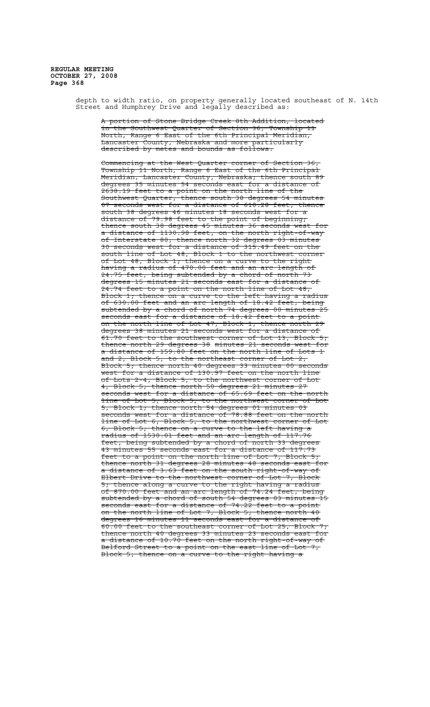> depth to width ratio, on property generally located southeast of N. 14th Street and Humphrey Drive and legally described as:

A portion of Stone Bridge Creek 8th Addition, located in the Southwest Quarter of Section 36, Township 11 North, Range 6 East of the 6th Principal Meridian, Lancaster County, Nebraska and more particularly described by metes and bounds as follows:

Commencing at the West Quarter corner of Section Township 11 North, Range 6 East of the 6th Principal Meridian, Lancaster County, Nebraska; thence south 89 degrees 35 minutes 54 seconds east for a distance of 2638.19 feet to a point on the north line of the Southwest Quarter; thence south 38 degrees 54 minutes 07 seconds west for a distance of 610.28 feet; thence south 38 degrees 46 minutes 18 seconds west for distance of 79.98 feet to the point of beginning; thence south 38 degrees 45 minutes 36 seconds west for a distance of 1130.98 feet, on the north right-of-way of Interstate 80; thence north 32 degrees 03 minutes 30 seconds west for a distance of 315.49 feet on the south line of Lot 48, Block 1 to the northwest corner of Lot 48, Block 1; thence on a curve to the right having a radius of 470.00 feet and an arc length of 24.75 feet, being subtended by a chord of north 73 degrees 15 minutes 21 seconds east for a distance of 24.74 feet to a point on the north line of Lot 48, Block 1; thence on a curve to the left having a radius of 630.00 feet and an arc length of 18.42 feet, being subtended by a chord of north 74 degrees 00 minutes 25 seconds east for a distance of 18.42 feet to a point on the north line of Lot 47, Block 1; thence north 29 degrees 38 minutes 21 seconds west for a distance of 61.70 feet to the southwest corner of Lot 13, Block 5; thence north 29 degrees 38 minutes 21 seconds west for a distance of 159.80 feet on the north line of Lots 1<br>and 2, Block 5, to the northeast corner of Lot 2,<br> $\frac{2}{3}$  minutes 00 second and 2, Block 5, to the northeast corner of Lot 2, Block 5; thence north 40 degrees 33 minutes 00 seconds west for a distance of 130.97 feet on the north line of Lots 2-4, Block 5, to the northwest corner of Lot 4, Block 5; thence north 50 degrees 21 minutes 27 a distance of 65.69 feet on the north line of Lot 5, Block 5, to the northwest corner of Lot 5, Block 1; thence north 54 degrees 01 minutes 03  $\tt{e}$  econds west for a distance of 78.88 feet on the nor line of Lot 6, Block 5, to the northwest corner of Lot 6, Block 5; thence on a curve to the left having a radius of 1530.01 feet and an arc length of 117.76 feet, being subtended by a chord of north 33 degrees 43 minutes 55 seconds east for a distance of 117.73 feet to a point on the north line of Lot 7, Block 5; thence north 31 degrees 28 minutes 48 seconds east a distance of 3.63 feet on the south right-of-way of Elbert Drive to the northwest corner of Lot 7, Block 5; thence along a curve to the right having a radius of 870.00 feet and an arc length of 74.24 feet, being subtended by a chord of south 54 degrees 03 minutes 15 seconds east for a distance of 74.22 feet to a point on the north line of Lot 7, Block 5; thence north 40 degrees 16 minutes 11 seconds east for a distance of 60.00 feet to the southeast corner of Lot 25, Block 7; thence north 40 degrees 33 minutes 23 seconds east for<br>a distance of 10.70 feet on the north right-of-way of 10.70 feet on the north right-of-way of<br>to a point on the east line of Lot 7. Belford Street to a point on the east Block 5; thence on a curve to the right having a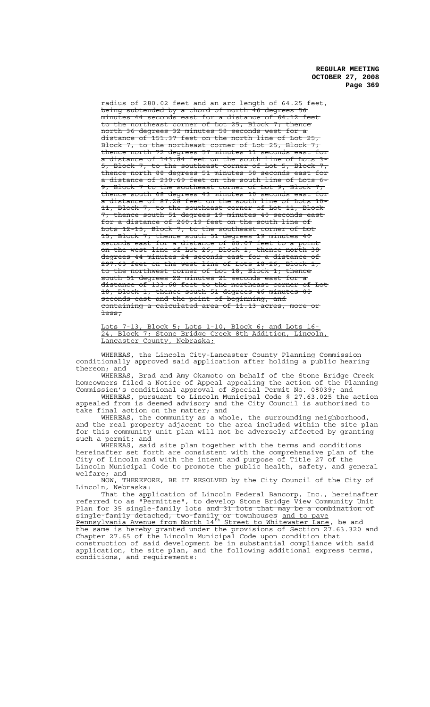$280.02$  feet and an arc length of  $64.25$ being subtended by a chord of north 46 degrees 56 minutes 44 seconds east for a distance of 64.12 feet to the northeast corner of Lot 25, Block 7; thence north 36 degrees 32 minutes 58 seconds west for a north 36 degrees 32 minutes 58 seconds west for a<br>distance of 151.37 feet on the north line of Lot 25, Block 7, to the northeast corner of Lot 25, Block 7 thence north 72 degrees 57 minutes 11 seconds east for a distance of  $143.\overline{84}$  feet on the south line of Lots 3-5, Block 7, to the southeast corner of Lot 5, Block 7; thence north 88 degrees 51 minutes 58 seconds east for a distance of 230.69 feet on the south line of Lots 6- 9, Block 7 to the southeast corner of Lot 9, Block 7; thence south 68 degrees 43 minutes 10 seconds east for a distance of 87.28 feet on the south line of Lots 10- 11, Block 7, to the southeast corner of Lot 11, Block 7; thence south 51 degrees 19 minutes 40 seconds east for a distance of 260.19 feet on the south line of Lots 12-15, Block 7, to the southeast corner of Lot 15, Block 7; thence south 51 degrees 19 minutes 40 seconds east for a distance of 60.07 feet to a point on the west line of Lot 26, Block 1; thence north 38 degrees 44 minutes 24 seconds east for a distance of 297.63 feet on the west line of Lots 18-26, Block 1, to the northwest corner of Lot 18, Block 1; thence south 51 degrees 22 minutes 21 seconds east for a distance of 133.68 feet to the northeast corner of 18, Block 1; thence south 51 degrees 46 minutes 00 seconds east and the point of beginning, and  $containing$  a calculated area of  $11.13$  acres, more less;

Lots 7-13, Block 5; Lots 1-10, Block 6; and Lots 16- 24, Block 7; Stone Bridge Creek 8th Addition, Lincoln, Lancaster County, Nebraska;

WHEREAS, the Lincoln City-Lancaster County Planning Commission conditionally approved said application after holding a public hearing thereon; and

WHEREAS, Brad and Amy Okamoto on behalf of the Stone Bridge Creek homeowners filed a Notice of Appeal appealing the action of the Planning Commission's conditional approval of Special Permit No. 08039; and

WHEREAS, pursuant to Lincoln Municipal Code § 27.63.025 the action appealed from is deemed advisory and the City Council is authorized to take final action on the matter; and

WHEREAS, the community as a whole, the surrounding neighborhood, and the real property adjacent to the area included within the site plan for this community unit plan will not be adversely affected by granting such a permit; and

WHEREAS, said site plan together with the terms and conditions hereinafter set forth are consistent with the comprehensive plan of the City of Lincoln and with the intent and purpose of Title 27 of the Lincoln Municipal Code to promote the public health, safety, and general welfare; and

NOW, THEREFORE, BE IT RESOLVED by the City Council of the City of Lincoln, Nebraska:

That the application of Lincoln Federal Bancorp, Inc., hereinafter referred to as "Permittee", to develop Stone Bridge View Community Unit Plan for 35 single-family lots <del>and 31 lots that may be a combination of</del> single-family detached, two-family or townhouses and to pave Pennsylvania Avenue from North 14<sup>th</sup> Street to Whitewater Lane, be and the same is hereby granted under the provisions of Section 27.63.320 and Chapter 27.65 of the Lincoln Municipal Code upon condition that construction of said development be in substantial compliance with said application, the site plan, and the following additional express terms, conditions, and requirements: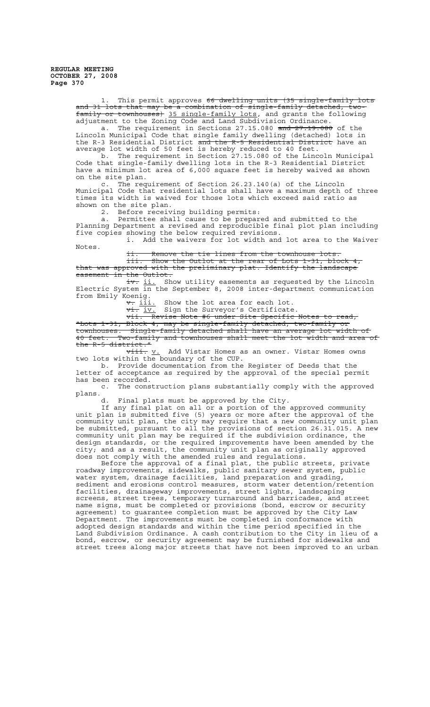> 1. This permit approves 66 dwelling units (35 single-family lots and 31 lots that may be a combination of single-family detached, twofamily or townhouses) 35 single-family lots, and grants the following adjustment to the Zoning Code and Land Subdivision Ordinance.

a. The requirement in Sections 27.15.080 <del>and 27.19.080</del> of the Lincoln Municipal Code that single family dwelling (detached) lots in the R-3 Residential District <del>and the R-5 Residential District</del> have an average lot width of 50 feet is hereby reduced to 40 feet.

b. The requirement in Section 27.15.080 of the Lincoln Municipal Code that single-family dwelling lots in the R-3 Residential District have a minimum lot area of 6,000 square feet is hereby waived as shown on the site plan.

c. The requirement of Section 26.23.140(a) of the Lincoln Municipal Code that residential lots shall have a maximum depth of three times its width is waived for those lots which exceed said ratio as shown on the site plan.

2. Before receiving building permits:

a. Permittee shall cause to be prepared and submitted to the Planning Department a revised and reproducible final plot plan including five copies showing the below required revisions. i. Add the waivers for lot width and lot area to the Waiver

Notes.

ii. Remove the tie lines from the townhouse lots.

iii. Show the Outlot at the rear of Lots 1-31, block 4, that was approved with the preliminary plat. Identify the landscape easement in the Outlot.

iv. ii. Show utility easements as requested by the Lincoln Electric System in the September 8, 2008 inter-department communication from Emily Koenig.

 $\overline{v}$ . <u>iii.</u> Show the lot area for each lot.<br> $\overline{vi}$ .  $\underline{iv}$ . Sign the Surveyor's Certificate.

vi. iv. Sign the Surveyor's Certificate.

vii. Revise Note #6 under Site Specific Notes to read,

"Lots 1-31, Block 4, may be single-family detached, two-family or townhouses. Single-family detached shall have an average lot width of 40 feet. Two-family and townhouses shall meet the lot width and area of the R-5 district."

 $\overline{v\texttt{iii}}\texttt{. v. }$  Add Vistar Homes as an owner. Vistar Homes owns two lots within the boundary of the CUP.

b. Provide documentation from the Register of Deeds that the letter of acceptance as required by the approval of the special permit has been recorded.

c. The construction plans substantially comply with the approved plans.

d. Final plats must be approved by the City.

If any final plat on all or a portion of the approved community unit plan is submitted five (5) years or more after the approval of the community unit plan, the city may require that a new community unit plan be submitted, pursuant to all the provisions of section 26.31.015. A new community unit plan may be required if the subdivision ordinance, the design standards, or the required improvements have been amended by the city; and as a result, the community unit plan as originally approved does not comply with the amended rules and regulations.

Before the approval of a final plat, the public streets, private roadway improvements, sidewalks, public sanitary sewer system, public water system, drainage facilities, land preparation and grading, sediment and erosions control measures, storm water detention/retention facilities, drainageway improvements, street lights, landscaping screens, street trees, temporary turnaround and barricades, and street name signs, must be completed or provisions (bond, escrow or security agreement) to guarantee completion must be approved by the City Law Department. The improvements must be completed in conformance with adopted design standards and within the time period specified in the Land Subdivision Ordinance. A cash contribution to the City in lieu of a bond, escrow, or security agreement may be furnished for sidewalks and street trees along major streets that have not been improved to an urban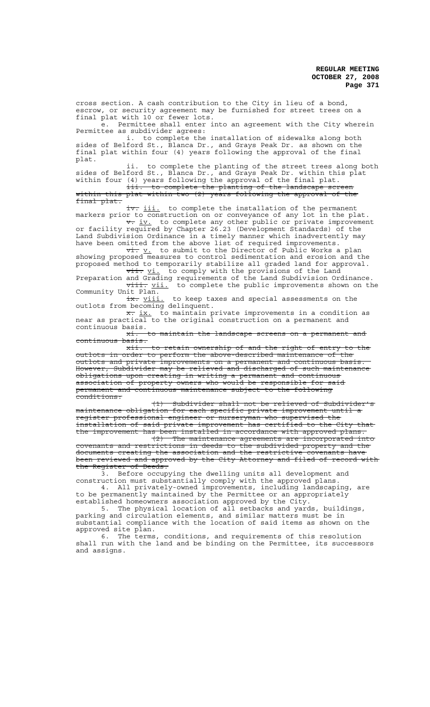cross section. A cash contribution to the City in lieu of a bond, escrow, or security agreement may be furnished for street trees on a final plat with 10 or fewer lots. e. Permittee shall enter into an agreement with the City wherein Permittee as subdivider agrees: i. to complete the installation of sidewalks along both sides of Belford St., Blanca Dr., and Grays Peak Dr. as shown on the final plat within four (4) years following the approval of the final plat. ii. to complete the planting of the street trees along both sides of Belford St., Blanca Dr., and Grays Peak Dr. within this plat within four (4) years following the approval of the final plat. iii. to complete the planting of the landscape screen within this plat within two (2) years following the approval of the final plat. iv. iii. to complete the installation of the permanent markers prior to construction on or conveyance of any lot in the plat. v. iv. to complete any other public or private improvement or facility required by Chapter 26.23 (Development Standards) of the Land Subdivision Ordinance in a timely manner which inadvertently may have been omitted from the above list of required improvements.  $\overrightarrow{vt}$ . to submit to the Director of Public Works a plan showing proposed measures to control sedimentation and erosion and the proposed method to temporarily stabilize all graded land for approval.  $\overline{\texttt{vii.}}$  io comply with the provisions of the Land Preparation and Grading requirements of the Land Subdivision Ordinance. viii. vii. to complete the public improvements shown on the Community Unit Plan.<br> $\frac{1}{1}$  to keep ta<br>outlots from becoming delinquent. to keep taxes and special assessments on the outlots from becoming delinquent.<br>x. <u>ix.</u> to maintain private improvements in a condition as near as practical to the original construction on a permanent and continuous basis. to maintain the landscape screens on a permanent and xi. t<br>continuous basis.<br>xii. to retain ownership of and the right of entry to the outlots in order to perform the above-described maintenance of the outlots and private improvements on a permanent and continuous basis. However, Subdivider may be relieved and discharged of such maintenance obligations upon creating in writing a permanent and continuous association of property owners who would be responsible for said permanent and continuous maintenance subject to the following conditions: (1) Subdivider shall not be relieved of Subdivider's maintenance obligation for each specific private improvement until a register professional engineer or nurseryman who supervised the installation of said private improvement has certified to the City that the improvement has been installed in accordance with approved plans.

(2) The maintenance agreements are incorporated into covenants and restrictions in deeds to the subdivided property and the documents creating the association and the restrictive covenants have been reviewed and approved by the City Attorney and filed of record with the Register of Deeds.

3. Before occupying the dwelling units all development and construction must substantially comply with the approved plans. 4. All privately-owned improvements, including landscaping, are

to be permanently maintained by the Permittee or an appropriately established homeowners association approved by the City. 5. The physical location of all setbacks and yards, buildings,

parking and circulation elements, and similar matters must be in substantial compliance with the location of said items as shown on the approved site plan.

6. The terms, conditions, and requirements of this resolution shall run with the land and be binding on the Permittee, its successors and assigns.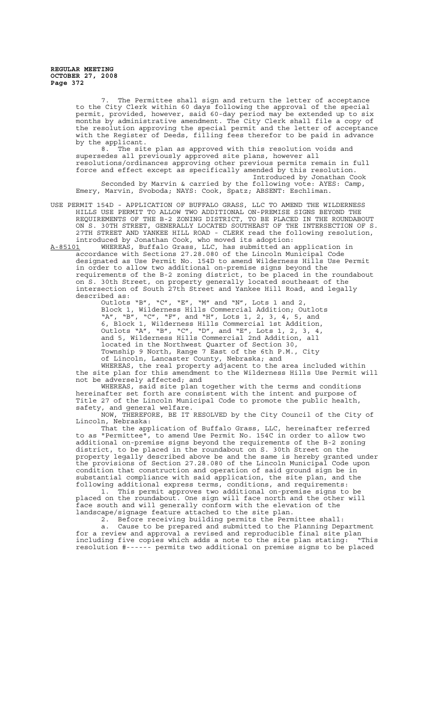> The Permittee shall sign and return the letter of acceptance to the City Clerk within 60 days following the approval of the special permit, provided, however, said 60-day period may be extended up to six months by administrative amendment. The City Clerk shall file a copy of the resolution approving the special permit and the letter of acceptance with the Register of Deeds, filling fees therefor to be paid in advance by the applicant.

8. The site plan as approved with this resolution voids and supersedes all previously approved site plans, however all resolutions/ordinances approving other previous permits remain in full force and effect except as specifically amended by this resolution.

Introduced by Jonathan Cook Seconded by Marvin & carried by the following vote: AYES: Camp, Emery, Marvin, Svoboda; NAYS: Cook, Spatz; ABSENT: Eschliman.

USE PERMIT 154D - APPLICATION OF BUFFALO GRASS, LLC TO AMEND THE WILDERNESS HILLS USE PERMIT TO ALLOW TWO ADDITIONAL ON-PREMISE SIGNS BEYOND THE REQUIREMENTS OF THE B-2 ZONING DISTRICT, TO BE PLACED IN THE ROUNDABOUT ON S. 30TH STREET, GENERALLY LOCATED SOUTHEAST OF THE INTERSECTION OF S. 27TH STREET AND YANKEE HILL ROAD - CLERK read the following resolution, introduced by Jonathan Cook, who moved its adoption:<br>A-85101 WHEREAS, Buffalo Grass, LLC, has submitted an

WHEREAS, Buffalo Grass, LLC, has submitted an application in accordance with Sections 27.28.080 of the Lincoln Municipal Code designated as Use Permit No. 154D to amend Wilderness Hills Use Permit in order to allow two additional on-premise signs beyond the requirements of the B-2 zoning district, to be placed in the roundabout on S. 30th Street, on property generally located southeast of the intersection of South 27th Street and Yankee Hill Road, and legally described as:

Outlots "B", "C", "E", "M" and "N", Lots 1 and 2, Block 1, Wilderness Hills Commercial Addition; Outlots "A", "B", "C", "F", and "H", Lots 1, 2, 3, 4, 5, and 6, Block 1, Wilderness Hills Commercial 1st Addition, Outlots "A", "B", "C", "D", and "E", Lots 1, 2, 3, 4, and 5, Wilderness Hills Commercial 2nd Addition, all located in the Northwest Quarter of Section 30, Township 9 North, Range 7 East of the 6th P.M., City of Lincoln, Lancaster County, Nebraska; and

WHEREAS, the real property adjacent to the area included within the site plan for this amendment to the Wilderness Hills Use Permit will not be adversely affected; and

WHEREAS, said site plan together with the terms and conditions hereinafter set forth are consistent with the intent and purpose of Title 27 of the Lincoln Municipal Code to promote the public health, safety, and general welfare.

NOW, THEREFORE, BE IT RESOLVED by the City Council of the City of Lincoln, Nebraska:

That the application of Buffalo Grass, LLC, hereinafter referred to as "Permittee", to amend Use Permit No. 154C in order to allow two additional on-premise signs beyond the requirements of the B-2 zoning district, to be placed in the roundabout on S. 30th Street on the property legally described above be and the same is hereby granted under the provisions of Section 27.28.080 of the Lincoln Municipal Code upon condition that construction and operation of said ground sign be in substantial compliance with said application, the site plan, and the following additional express terms, conditions, and requirements:

1. This permit approves two additional on-premise signs to be placed on the roundabout. One sign will face north and the other will face south and will generally conform with the elevation of the landscape/signage feature attached to the site plan.

2. Before receiving building permits the Permittee shall:

a. Cause to be prepared and submitted to the Planning Department for a review and approval a revised and reproducible final site plan including five copies which adds a note to the site plan stating: "This resolution #------ permits two additional on premise signs to be placed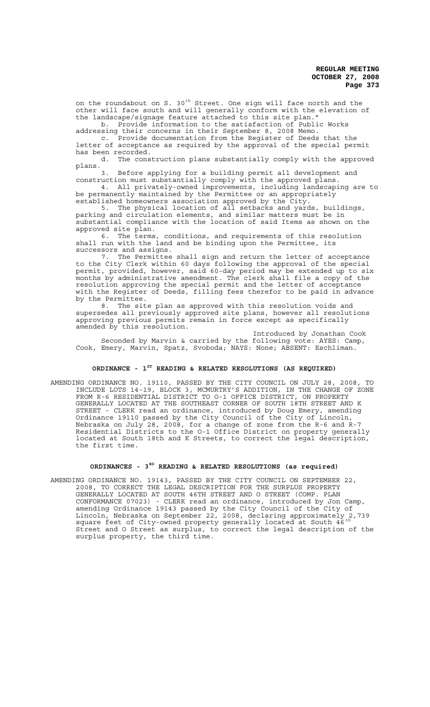on the roundabout on S. 30<sup>th</sup> Street. One sign will face north and the other will face south and will generally conform with the elevation of the landscape/signage feature attached to this site plan." b. Provide information to the satisfaction of Public Works

addressing their concerns in their September 8, 2008 Memo.

c. Provide documentation from the Register of Deeds that the letter of acceptance as required by the approval of the special permit has been recorded.

d. The construction plans substantially comply with the approved plans.

3. Before applying for a building permit all development and construction must substantially comply with the approved plans.

4. All privately-owned improvements, including landscaping are to be permanently maintained by the Permittee or an appropriately established homeowners association approved by the City.

5. The physical location of all setbacks and yards, buildings, parking and circulation elements, and similar matters must be in substantial compliance with the location of said Items as shown on the approved site plan.

6. The terms, conditions, and requirements of this resolution shall run with the land and be binding upon the Permittee, its successors and assigns.

7. The Permittee shall sign and return the letter of acceptance to the City Clerk within 60 days following the approval of the special permit, provided, however, said 60-day period may be extended up to six months by administrative amendment. The clerk shall file a copy of the resolution approving the special permit and the letter of acceptance with the Register of Deeds, filling fees therefor to be paid in advance by the Permittee.

8. The site plan as approved with this resolution voids and supersedes all previously approved site plans, however all resolutions approving previous permits remain in force except as specifically amended by this resolution.

Introduced by Jonathan Cook Seconded by Marvin & carried by the following vote: AYES: Camp, Cook, Emery, Marvin, Spatz, Svoboda; NAYS: None; ABSENT: Eschliman.

### **ORDINANCE - 1ST READING & RELATED RESOLUTIONS (AS REQUIRED)**

AMENDING ORDINANCE NO. 19110, PASSED BY THE CITY COUNCIL ON JULY 28, 2008, TO INCLUDE LOTS 14-19, BLOCK 3, MCMURTRY'S ADDITION, IN THE CHANGE OF ZONE FROM R-6 RESIDENTIAL DISTRICT TO O-1 OFFICE DISTRICT, ON PROPERTY GENERALLY LOCATED AT THE SOUTHEAST CORNER OF SOUTH 18TH STREET AND K STREET - CLERK read an ordinance, introduced by Doug Emery, amending Ordinance 19110 passed by the City Council of the City of Lincoln, Nebraska on July 28, 2008, for a change of zone from the R-6 and R-7 Residential Districts to the O-1 Office District on property generally located at South 18th and K Streets, to correct the legal description, the first time.

# **ORDINANCES - 3RD READING & RELATED RESOLUTIONS (as required)**

AMENDING ORDINANCE NO. 19143, PASSED BY THE CITY COUNCIL ON SEPTEMBER 22, 2008, TO CORRECT THE LEGAL DESCRIPTION FOR THE SURPLUS PROPERTY GENERALLY LOCATED AT SOUTH 46TH STREET AND O STREET (COMP. PLAN CONFORMANCE 07023) - CLERK read an ordinance, introduced by Jon Camp, amending Ordinance 19143 passed by the City Council of the City of Lincoln, Nebraska on September 22, 2008, declaring approximately 2,739 square feet of City-owned property generally located at South 46<sup>th</sup> Street and O Street as surplus, to correct the legal description of the surplus property, the third time.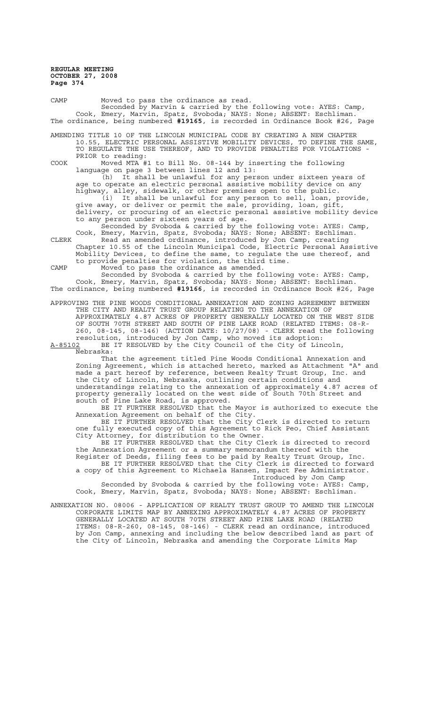CAMP Moved to pass the ordinance as read. Seconded by Marvin & carried by the following vote: AYES: Camp, Cook, Emery, Marvin, Spatz, Svoboda; NAYS: None; ABSENT: Eschliman. The ordinance, being numbered **#19165**, is recorded in Ordinance Book #26, Page AMENDING TITLE 10 OF THE LINCOLN MUNICIPAL CODE BY CREATING A NEW CHAPTER 10.55, ELECTRIC PERSONAL ASSISTIVE MOBILITY DEVICES, TO DEFINE THE SAME,

TO REGULATE THE USE THEREOF, AND TO PROVIDE PENALTIES FOR VIOLATIONS - PRIOR to reading:

COOK Moved MTA #1 to Bill No. 08-144 by inserting the following language on page 3 between lines 12 and 13:

(h) It shall be unlawful for any person under sixteen years of age to operate an electric personal assistive mobility device on any highway, alley, sidewalk, or other premises open to the public. (i) It shall be unlawful for any person to sell, loan, provide, give away, or deliver or permit the sale, providing, loan, gift, delivery, or procuring of an electric personal assistive mobility device to any person under sixteen years of age.

Seconded by Svoboda & carried by the following vote: AYES: Camp, Cook, Emery, Marvin, Spatz, Svoboda; NAYS: None; ABSENT: Eschliman. CLERK Read an amended ordinance, introduced by Jon Camp, creating Chapter 10.55 of the Lincoln Municipal Code, Electric Personal Assistive Mobility Devices, to define the same, to regulate the use thereof, and to provide penalties for violation, the third time.

CAMP Moved to pass the ordinance as amended. Seconded by Svoboda & carried by the following vote: AYES: Camp,

Cook, Emery, Marvin, Spatz, Svoboda; NAYS: None; ABSENT: Eschliman. The ordinance, being numbered **#19166**, is recorded in Ordinance Book #26, Page

APPROVING THE PINE WOODS CONDITIONAL ANNEXATION AND ZONING AGREEMENT BETWEEN THE CITY AND REALTY TRUST GROUP RELATING TO THE ANNEXATION OF APPROXIMATELY 4.87 ACRES OF PROPERTY GENERALLY LOCATED ON THE WEST SIDE OF SOUTH 70TH STREET AND SOUTH OF PINE LAKE ROAD (RELATED ITEMS: 08-R-260, 08-145, 08-146) (ACTION DATE: 10/27/08) - CLERK read the following resolution, introduced by Jon Camp, who moved its adoption:

A-85102 BE IT RESOLVED by the City Council of the City of Lincoln, Nebraska:

That the agreement titled Pine Woods Conditional Annexation and Zoning Agreement, which is attached hereto, marked as Attachment "A" and made a part hereof by reference, between Realty Trust Group, Inc. and the City of Lincoln, Nebraska, outlining certain conditions and understandings relating to the annexation of approximately 4.87 acres of property generally located on the west side of South 70th Street and south of Pine Lake Road, is approved.

BE IT FURTHER RESOLVED that the Mayor is authorized to execute the Annexation Agreement on behalf of the City.

BE IT FURTHER RESOLVED that the City Clerk is directed to return one fully executed copy of this Agreement to Rick Peo, Chief Assistant City Attorney, for distribution to the Owner.

BE IT FURTHER RESOLVED that the City Clerk is directed to record the Annexation Agreement or a summary memorandum thereof with the Register of Deeds, filing fees to be paid by Realty Trust Group, Inc.

BE IT FURTHER RESOLVED that the City Clerk is directed to forward a copy of this Agreement to Michaela Hansen, Impact Fee Administrator. Introduced by Jon Camp

Seconded by Svoboda & carried by the following vote: AYES: Camp, Cook, Emery, Marvin, Spatz, Svoboda; NAYS: None; ABSENT: Eschliman.

ANNEXATION NO. 08006 - APPLICATION OF REALTY TRUST GROUP TO AMEND THE LINCOLN CORPORATE LIMITS MAP BY ANNEXING APPROXIMATELY 4.87 ACRES OF PROPERTY GENERALLY LOCATED AT SOUTH 70TH STREET AND PINE LAKE ROAD (RELATED ITEMS: 08-R-260, 08-145, 08-146) - CLERK read an ordinance, introduced by Jon Camp, annexing and including the below described land as part of the City of Lincoln, Nebraska and amending the Corporate Limits Map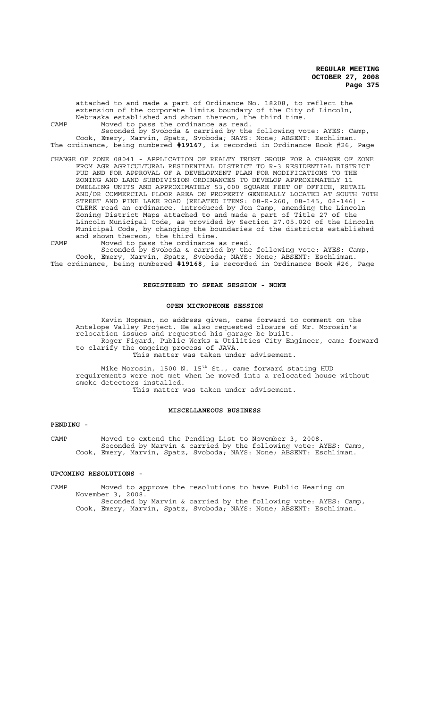attached to and made a part of Ordinance No. 18208, to reflect the extension of the corporate limits boundary of the City of Lincoln, Nebraska established and shown thereon, the third time. CAMP Moved to pass the ordinance as read. Seconded by Svoboda & carried by the following vote: AYES: Camp, Cook, Emery, Marvin, Spatz, Svoboda; NAYS: None; ABSENT: Eschliman. The ordinance, being numbered **#19167**, is recorded in Ordinance Book #26, Page CHANGE OF ZONE 08041 - APPLICATION OF REALTY TRUST GROUP FOR A CHANGE OF ZONE FROM AGR AGRICULTURAL RESIDENTIAL DISTRICT TO R-3 RESIDENTIAL DISTRICT PUD AND FOR APPROVAL OF A DEVELOPMENT PLAN FOR MODIFICATIONS TO THE ZONING AND LAND SUBDIVISION ORDINANCES TO DEVELOP APPROXIMATELY 11 DWELLING UNITS AND APPROXIMATELY 53,000 SQUARE FEET OF OFFICE, RETAIL AND/OR COMMERCIAL FLOOR AREA ON PROPERTY GENERALLY LOCATED AT SOUTH 70TH

STREET AND PINE LAKE ROAD (RELATED ITEMS: 08-R-260, 08-145, 08-146) - CLERK read an ordinance, introduced by Jon Camp, amending the Lincoln Zoning District Maps attached to and made a part of Title 27 of the Lincoln Municipal Code, as provided by Section 27.05.020 of the Lincoln Municipal Code, by changing the boundaries of the districts established and shown thereon, the third time.

CAMP Moved to pass the ordinance as read.

Seconded by Svoboda & carried by the following vote: AYES: Camp, Cook, Emery, Marvin, Spatz, Svoboda; NAYS: None; ABSENT: Eschliman. The ordinance, being numbered **#19168**, is recorded in Ordinance Book #26, Page

#### **REGISTERED TO SPEAK SESSION - NONE**

#### **OPEN MICROPHONE SESSION**

Kevin Hopman, no address given, came forward to comment on the Antelope Valley Project. He also requested closure of Mr. Morosin's relocation issues and requested his garage be built. Roger Figard, Public Works & Utilities City Engineer, came forward to clarify the ongoing process of JAVA. This matter was taken under advisement.

Mike Morosin, 1500 N. 15<sup>th</sup> St., came forward stating HUD requirements were not met when he moved into a relocated house without smoke detectors installed. This matter was taken under advisement.

### **MISCELLANEOUS BUSINESS**

### **PENDING -**

CAMP Moved to extend the Pending List to November 3, 2008. Seconded by Marvin & carried by the following vote: AYES: Camp, Cook, Emery, Marvin, Spatz, Svoboda; NAYS: None; ABSENT: Eschliman.

#### **UPCOMING RESOLUTIONS -**

CAMP Moved to approve the resolutions to have Public Hearing on November 3, 2008. Seconded by Marvin & carried by the following vote: AYES: Camp,

Cook, Emery, Marvin, Spatz, Svoboda; NAYS: None; ABSENT: Eschliman.